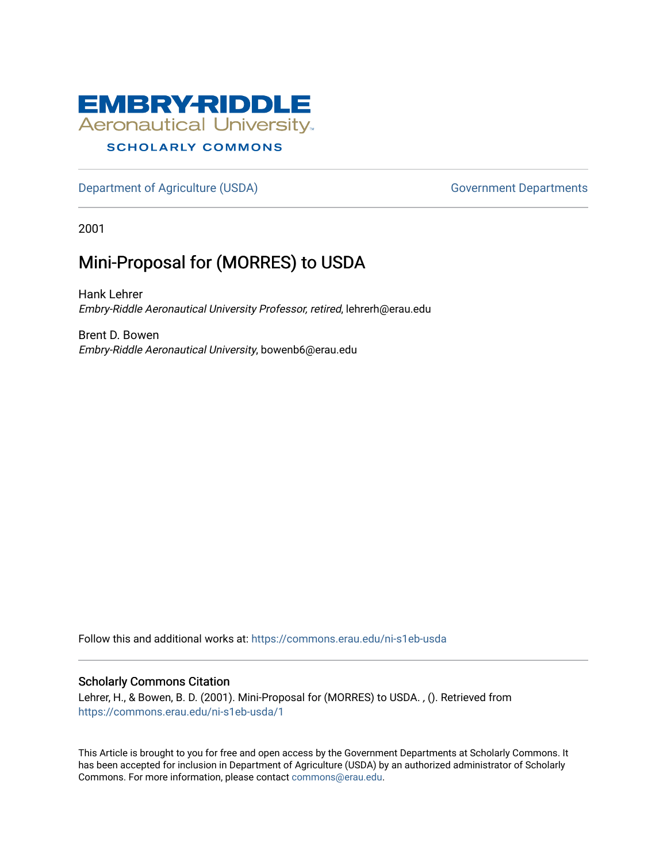

#### **SCHOLARLY COMMONS**

[Department of Agriculture \(USDA\)](https://commons.erau.edu/ni-s1eb-usda) Government Departments

2001

# Mini-Proposal for (MORRES) to USDA

Hank Lehrer Embry-Riddle Aeronautical University Professor, retired, lehrerh@erau.edu

Brent D. Bowen Embry-Riddle Aeronautical University, bowenb6@erau.edu

Follow this and additional works at: [https://commons.erau.edu/ni-s1eb-usda](https://commons.erau.edu/ni-s1eb-usda?utm_source=commons.erau.edu%2Fni-s1eb-usda%2F1&utm_medium=PDF&utm_campaign=PDFCoverPages)

#### Scholarly Commons Citation

Lehrer, H., & Bowen, B. D. (2001). Mini-Proposal for (MORRES) to USDA. , (). Retrieved from [https://commons.erau.edu/ni-s1eb-usda/1](https://commons.erau.edu/ni-s1eb-usda/1?utm_source=commons.erau.edu%2Fni-s1eb-usda%2F1&utm_medium=PDF&utm_campaign=PDFCoverPages) 

This Article is brought to you for free and open access by the Government Departments at Scholarly Commons. It has been accepted for inclusion in Department of Agriculture (USDA) by an authorized administrator of Scholarly Commons. For more information, please contact [commons@erau.edu.](mailto:commons@erau.edu)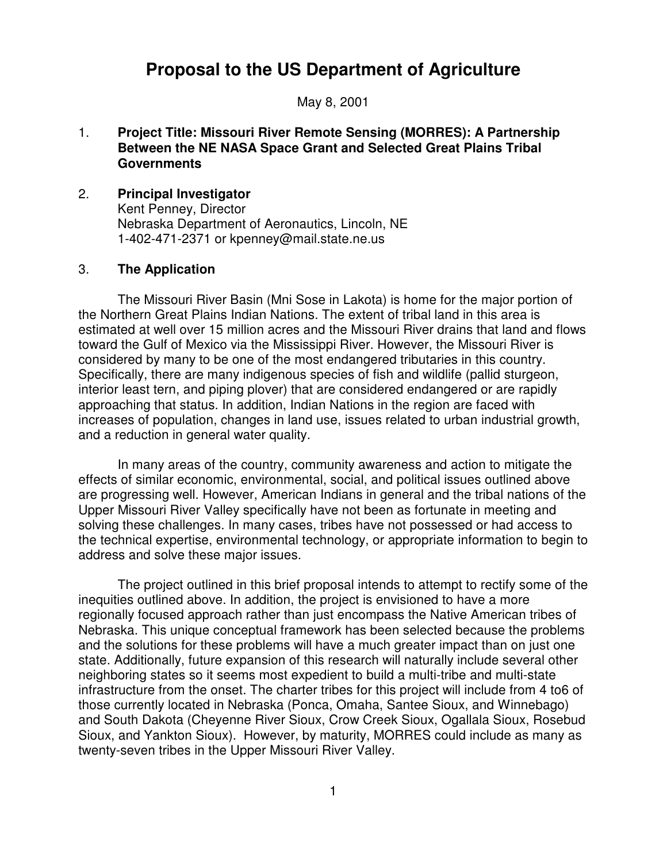# **Proposal to the US Department of Agriculture**

May 8, 2001

### 1. **Project Title: Missouri River Remote Sensing (MORRES): A Partnership Between the NE NASA Space Grant and Selected Great Plains Tribal Governments**

#### 2. **Principal Investigator**

Kent Penney, Director Nebraska Department of Aeronautics, Lincoln, NE 1-402-471-2371 or kpenney@mail.state.ne.us

#### 3. **The Application**

The Missouri River Basin (Mni Sose in Lakota) is home for the major portion of the Northern Great Plains Indian Nations. The extent of tribal land in this area is estimated at well over 15 million acres and the Missouri River drains that land and flows toward the Gulf of Mexico via the Mississippi River. However, the Missouri River is considered by many to be one of the most endangered tributaries in this country. Specifically, there are many indigenous species of fish and wildlife (pallid sturgeon, interior least tern, and piping plover) that are considered endangered or are rapidly approaching that status. In addition, Indian Nations in the region are faced with increases of population, changes in land use, issues related to urban industrial growth, and a reduction in general water quality.

In many areas of the country, community awareness and action to mitigate the effects of similar economic, environmental, social, and political issues outlined above are progressing well. However, American Indians in general and the tribal nations of the Upper Missouri River Valley specifically have not been as fortunate in meeting and solving these challenges. In many cases, tribes have not possessed or had access to the technical expertise, environmental technology, or appropriate information to begin to address and solve these major issues.

The project outlined in this brief proposal intends to attempt to rectify some of the inequities outlined above. In addition, the project is envisioned to have a more regionally focused approach rather than just encompass the Native American tribes of Nebraska. This unique conceptual framework has been selected because the problems and the solutions for these problems will have a much greater impact than on just one state. Additionally, future expansion of this research will naturally include several other neighboring states so it seems most expedient to build a multi-tribe and multi-state infrastructure from the onset. The charter tribes for this project will include from 4 to6 of those currently located in Nebraska (Ponca, Omaha, Santee Sioux, and Winnebago) and South Dakota (Cheyenne River Sioux, Crow Creek Sioux, Ogallala Sioux, Rosebud Sioux, and Yankton Sioux). However, by maturity, MORRES could include as many as twenty-seven tribes in the Upper Missouri River Valley.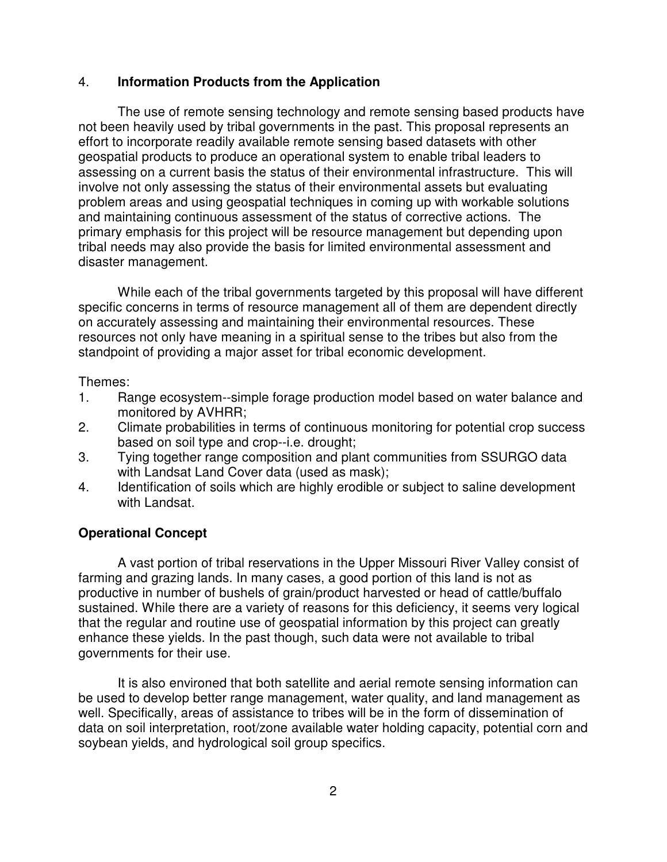### 4. **Information Products from the Application**

The use of remote sensing technology and remote sensing based products have not been heavily used by tribal governments in the past. This proposal represents an effort to incorporate readily available remote sensing based datasets with other geospatial products to produce an operational system to enable tribal leaders to assessing on a current basis the status of their environmental infrastructure. This will involve not only assessing the status of their environmental assets but evaluating problem areas and using geospatial techniques in coming up with workable solutions and maintaining continuous assessment of the status of corrective actions. The primary emphasis for this project will be resource management but depending upon tribal needs may also provide the basis for limited environmental assessment and disaster management.

While each of the tribal governments targeted by this proposal will have different specific concerns in terms of resource management all of them are dependent directly on accurately assessing and maintaining their environmental resources. These resources not only have meaning in a spiritual sense to the tribes but also from the standpoint of providing a major asset for tribal economic development.

Themes:

- 1. Range ecosystem--simple forage production model based on water balance and monitored by AVHRR;
- 2. Climate probabilities in terms of continuous monitoring for potential crop success based on soil type and crop--i.e. drought;
- 3. Tying together range composition and plant communities from SSURGO data with Landsat Land Cover data (used as mask);
- 4. Identification of soils which are highly erodible or subject to saline development with Landsat.

# **Operational Concept**

A vast portion of tribal reservations in the Upper Missouri River Valley consist of farming and grazing lands. In many cases, a good portion of this land is not as productive in number of bushels of grain/product harvested or head of cattle/buffalo sustained. While there are a variety of reasons for this deficiency, it seems very logical that the regular and routine use of geospatial information by this project can greatly enhance these yields. In the past though, such data were not available to tribal governments for their use.

It is also environed that both satellite and aerial remote sensing information can be used to develop better range management, water quality, and land management as well. Specifically, areas of assistance to tribes will be in the form of dissemination of data on soil interpretation, root/zone available water holding capacity, potential corn and soybean yields, and hydrological soil group specifics.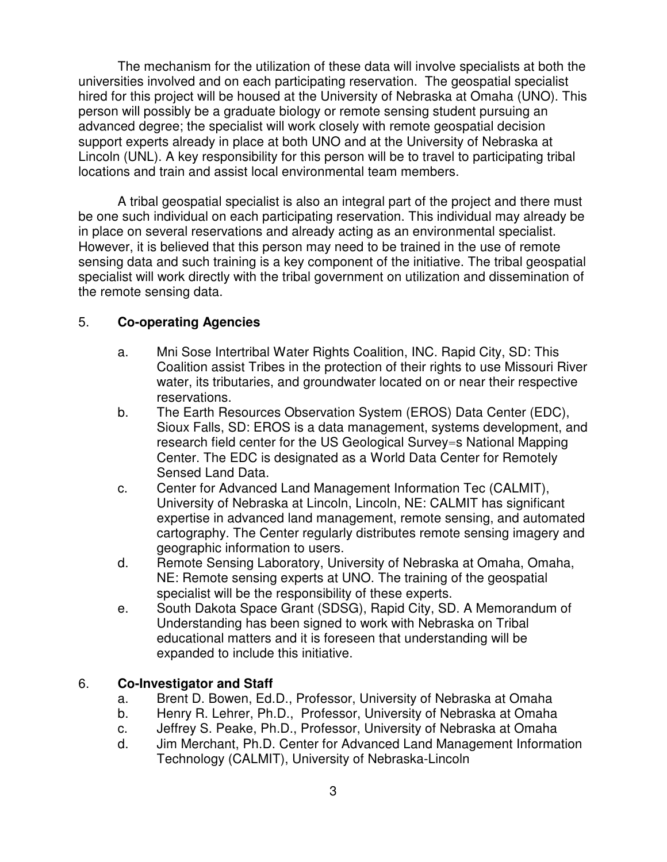The mechanism for the utilization of these data will involve specialists at both the universities involved and on each participating reservation. The geospatial specialist hired for this project will be housed at the University of Nebraska at Omaha (UNO). This person will possibly be a graduate biology or remote sensing student pursuing an advanced degree; the specialist will work closely with remote geospatial decision support experts already in place at both UNO and at the University of Nebraska at Lincoln (UNL). A key responsibility for this person will be to travel to participating tribal locations and train and assist local environmental team members.

A tribal geospatial specialist is also an integral part of the project and there must be one such individual on each participating reservation. This individual may already be in place on several reservations and already acting as an environmental specialist. However, it is believed that this person may need to be trained in the use of remote sensing data and such training is a key component of the initiative. The tribal geospatial specialist will work directly with the tribal government on utilization and dissemination of the remote sensing data.

# 5. **Co-operating Agencies**

- a. Mni Sose Intertribal Water Rights Coalition, INC. Rapid City, SD: This Coalition assist Tribes in the protection of their rights to use Missouri River water, its tributaries, and groundwater located on or near their respective reservations.
- b. The Earth Resources Observation System (EROS) Data Center (EDC), Sioux Falls, SD: EROS is a data management, systems development, and research field center for the US Geological Survey=s National Mapping Center. The EDC is designated as a World Data Center for Remotely Sensed Land Data.
- c. Center for Advanced Land Management Information Tec (CALMIT), University of Nebraska at Lincoln, Lincoln, NE: CALMIT has significant expertise in advanced land management, remote sensing, and automated cartography. The Center regularly distributes remote sensing imagery and geographic information to users.
- d. Remote Sensing Laboratory, University of Nebraska at Omaha, Omaha, NE: Remote sensing experts at UNO. The training of the geospatial specialist will be the responsibility of these experts.
- e. South Dakota Space Grant (SDSG), Rapid City, SD. A Memorandum of Understanding has been signed to work with Nebraska on Tribal educational matters and it is foreseen that understanding will be expanded to include this initiative.

### 6. **Co-Investigator and Staff**

- a. Brent D. Bowen, Ed.D., Professor, University of Nebraska at Omaha
- b. Henry R. Lehrer, Ph.D., Professor, University of Nebraska at Omaha
- c. Jeffrey S. Peake, Ph.D., Professor, University of Nebraska at Omaha
- d. Jim Merchant, Ph.D. Center for Advanced Land Management Information Technology (CALMIT), University of Nebraska-Lincoln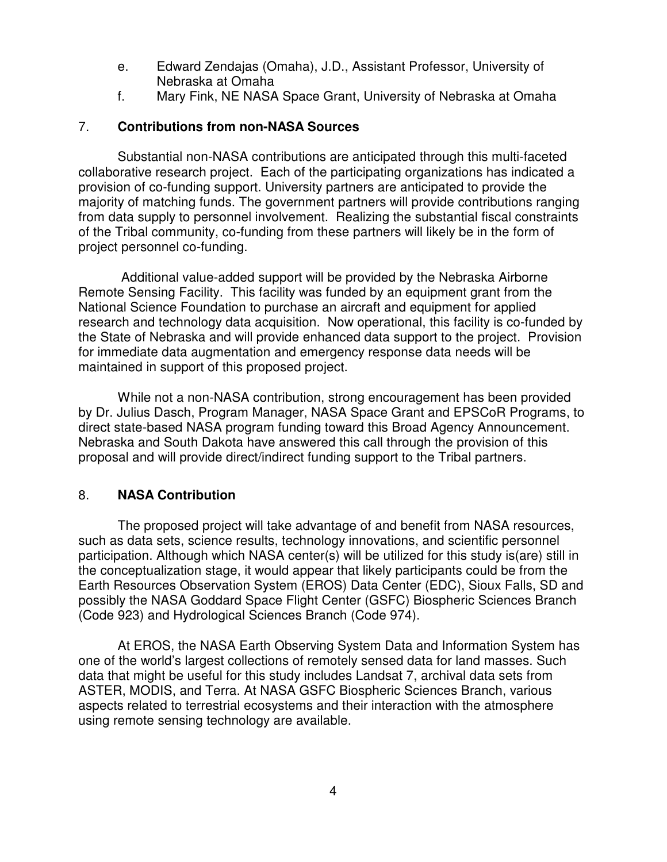- e. Edward Zendajas (Omaha), J.D., Assistant Professor, University of Nebraska at Omaha
- f. Mary Fink, NE NASA Space Grant, University of Nebraska at Omaha

## 7. **Contributions from non-NASA Sources**

Substantial non-NASA contributions are anticipated through this multi-faceted collaborative research project. Each of the participating organizations has indicated a provision of co-funding support. University partners are anticipated to provide the majority of matching funds. The government partners will provide contributions ranging from data supply to personnel involvement. Realizing the substantial fiscal constraints of the Tribal community, co-funding from these partners will likely be in the form of project personnel co-funding.

 Additional value-added support will be provided by the Nebraska Airborne Remote Sensing Facility. This facility was funded by an equipment grant from the National Science Foundation to purchase an aircraft and equipment for applied research and technology data acquisition. Now operational, this facility is co-funded by the State of Nebraska and will provide enhanced data support to the project. Provision for immediate data augmentation and emergency response data needs will be maintained in support of this proposed project.

While not a non-NASA contribution, strong encouragement has been provided by Dr. Julius Dasch, Program Manager, NASA Space Grant and EPSCoR Programs, to direct state-based NASA program funding toward this Broad Agency Announcement. Nebraska and South Dakota have answered this call through the provision of this proposal and will provide direct/indirect funding support to the Tribal partners.

# 8. **NASA Contribution**

The proposed project will take advantage of and benefit from NASA resources, such as data sets, science results, technology innovations, and scientific personnel participation. Although which NASA center(s) will be utilized for this study is(are) still in the conceptualization stage, it would appear that likely participants could be from the Earth Resources Observation System (EROS) Data Center (EDC), Sioux Falls, SD and possibly the NASA Goddard Space Flight Center (GSFC) Biospheric Sciences Branch (Code 923) and Hydrological Sciences Branch (Code 974).

At EROS, the NASA Earth Observing System Data and Information System has one of the world's largest collections of remotely sensed data for land masses. Such data that might be useful for this study includes Landsat 7, archival data sets from ASTER, MODIS, and Terra. At NASA GSFC Biospheric Sciences Branch, various aspects related to terrestrial ecosystems and their interaction with the atmosphere using remote sensing technology are available.